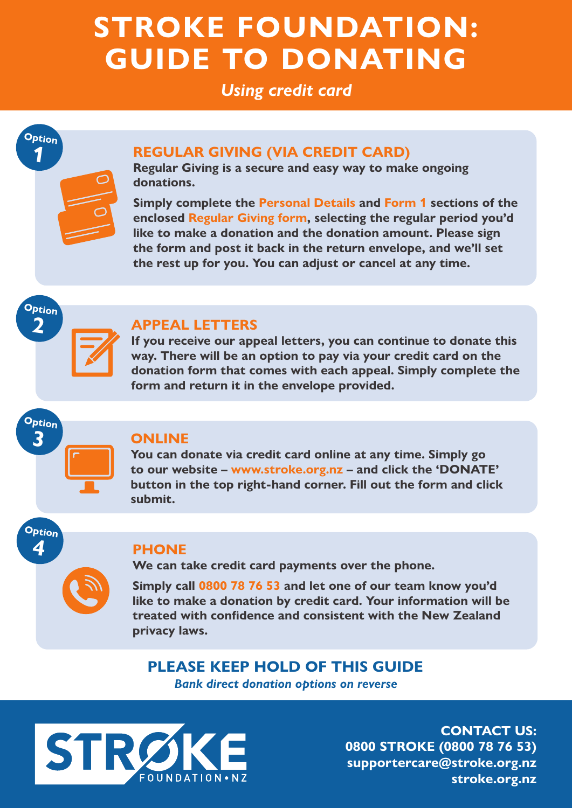## **STROKE FOUNDATION: GUIDE TO DONATING**

#### *Using credit card*

## **Option 1**

#### **REGULAR GIVING (VIA CREDIT CARD)**

**Regular Giving is a secure and easy way to make ongoing donations.** 

**Simply complete the Personal Details and Form 1 sections of the enclosed Regular Giving form, selecting the regular period you'd like to make a donation and the donation amount. Please sign the form and post it back in the return envelope, and we'll set the rest up for you. You can adjust or cancel at any time.** 

# **Option**

**2**

#### **APPEAL LETTERS**

**If you receive our appeal letters, you can continue to donate this way. There will be an option to pay via your credit card on the donation form that comes with each appeal. Simply complete the form and return it in the envelope provided.**

## **Option 3**

**Option 4**

#### **ONLINE**

**You can donate via credit card online at any time. Simply go to our website – www.stroke.org.nz – and click the 'DONATE' button in the top right-hand corner. Fill out the form and click submit.**



#### **PHONE**

**We can take credit card payments over the phone.**

**Simply call 0800 78 76 53 and let one of our team know you'd like to make a donation by credit card. Your information will be treated with confidence and consistent with the New Zealand privacy laws.**

#### **PLEASE KEEP HOLD OF THIS GUIDE** *Bank direct donation options on reverse*



**CONTACT US: 0800 STROKE (0800 78 76 53) supportercare@stroke.org.nz stroke.org.nz**